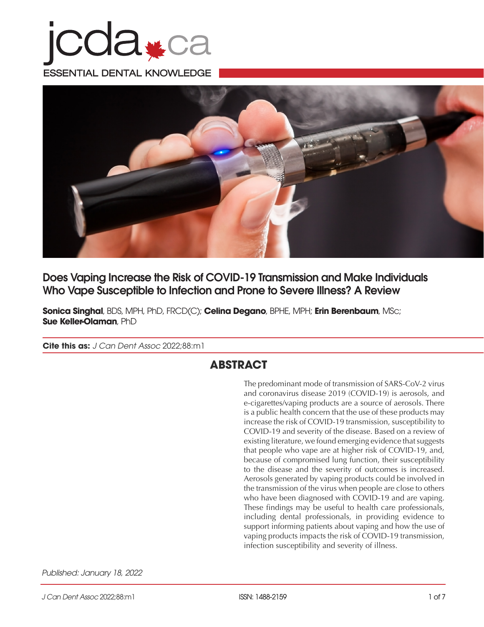



Does Vaping Increase the Risk of COVID-19 Transmission and Make Individuals Who Vape Susceptible to Infection and Prone to Severe Illness? A Review

**Sonica Singhal**, BDS, MPH, PhD, FRCD(C); **Celina Degano**, BPHE, MPH; **Erin Berenbaum**, MSc; **Sue Keller-Olaman**, PhD

**Cite this as:** *J Can Dent Assoc* 2022;88:m1

# **ABSTRACT**

The predominant mode of transmission of SARS-CoV-2 virus and coronavirus disease 2019 (COVID-19) is aerosols, and e-cigarettes/vaping products are a source of aerosols. There is a public health concern that the use of these products may increase the risk of COVID-19 transmission, susceptibility to COVID-19 and severity of the disease. Based on a review of existing literature, we found emerging evidence that suggests that people who vape are at higher risk of COVID-19, and, because of compromised lung function, their susceptibility to the disease and the severity of outcomes is increased. Aerosols generated by vaping products could be involved in the transmission of the virus when people are close to others who have been diagnosed with COVID-19 and are vaping. These findings may be useful to health care professionals, including dental professionals, in providing evidence to support informing patients about vaping and how the use of vaping products impacts the risk of COVID-19 transmission, infection susceptibility and severity of illness.

*Published: January 18, 2022*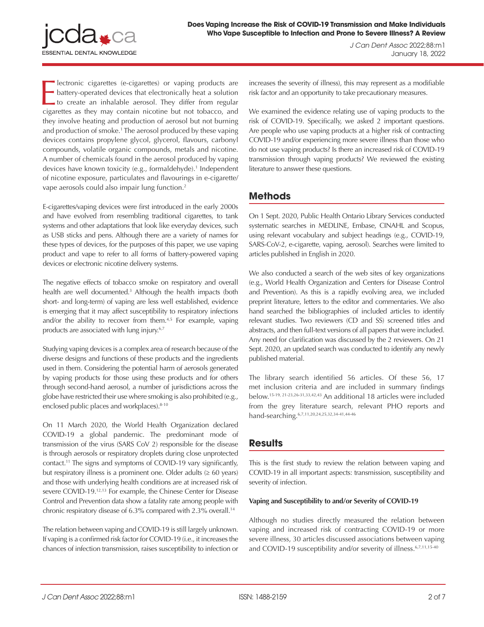

**Exercise is alter** (e-cigarettes) or vaping products are battery-operated devices that electronically heat a solution to create an inhalable aerosol. They differ from regular cigarettes as they may contain nicotine but no lectronic cigarettes (e-cigarettes) or vaping products are battery-operated devices that electronically heat a solution to create an inhalable aerosol. They differ from regular they involve heating and production of aerosol but not burning and production of smoke.1 The aerosol produced by these vaping devices contains propylene glycol, glycerol, flavours, carbonyl compounds, volatile organic compounds, metals and nicotine. A number of chemicals found in the aerosol produced by vaping devices have known toxicity (e.g., formaldehyde).<sup>1</sup> Independent of nicotine exposure, particulates and flavourings in e-cigarette/ vape aerosols could also impair lung function.<sup>2</sup>

E-cigarettes/vaping devices were first introduced in the early 2000s and have evolved from resembling traditional cigarettes, to tank systems and other adaptations that look like everyday devices, such as USB sticks and pens. Although there are a variety of names for these types of devices, for the purposes of this paper, we use vaping product and vape to refer to all forms of battery-powered vaping devices or electronic nicotine delivery systems.

The negative effects of tobacco smoke on respiratory and overall health are well documented.<sup>3</sup> Although the health impacts (both short- and long-term) of vaping are less well established, evidence is emerging that it may affect susceptibility to respiratory infections and/or the ability to recover from them.<sup>4,5</sup> For example, vaping products are associated with lung injury.<sup>6,7</sup>

Studying vaping devices is a complex area of research because of the diverse designs and functions of these products and the ingredients used in them. Considering the potential harm of aerosols generated by vaping products for those using these products and for others through second-hand aerosol, a number of jurisdictions across the globe have restricted their use where smoking is also prohibited (e.g., enclosed public places and workplaces). 8-10

On 11 March 2020, the World Health Organization declared COVID-19 a global pandemic. The predominant mode of transmission of the virus (SARS CoV 2) responsible for the disease is through aerosols or respiratory droplets during close unprotected contact.11 The signs and symptoms of COVID-19 vary significantly, but respiratory illness is a prominent one. Older adults  $(≥ 60 years)$ and those with underlying health conditions are at increased risk of severe COVID-19.<sup>12,13</sup> For example, the Chinese Center for Disease Control and Prevention data show a fatality rate among people with chronic respiratory disease of 6.3% compared with 2.3% overall.<sup>14</sup>

The relation between vaping and COVID-19 is still largely unknown. If vaping is a confirmed risk factor for COVID-19 (i.e., it increases the chances of infection transmission, raises susceptibility to infection or increases the severity of illness), this may represent as a modifiable risk factor and an opportunity to take precautionary measures.

We examined the evidence relating use of vaping products to the risk of COVID-19. Specifically, we asked 2 important questions. Are people who use vaping products at a higher risk of contracting COVID-19 and/or experiencing more severe illness than those who do not use vaping products? Is there an increased risk of COVID-19 transmission through vaping products? We reviewed the existing literature to answer these questions.

# **Methods**

On 1 Sept. 2020, Public Health Ontario Library Services conducted systematic searches in MEDLINE, Embase, CINAHL and Scopus, using relevant vocabulary and subject headings (e.g., COVID-19, SARS-CoV-2, e-cigarette, vaping, aerosol). Searches were limited to articles published in English in 2020.

We also conducted a search of the web sites of key organizations (e.g., World Health Organization and Centers for Disease Control and Prevention). As this is a rapidly evolving area, we included preprint literature, letters to the editor and commentaries. We also hand searched the bibliographies of included articles to identify relevant studies. Two reviewers (CD and SS) screened titles and abstracts, and then full-text versions of all papers that were included. Any need for clarification was discussed by the 2 reviewers. On 21 Sept. 2020, an updated search was conducted to identify any newly published material.

The library search identified 56 articles. Of these 56, 17 met inclusion criteria and are included in summary findings below.15-19, 21-23,26-31,33,42,43 An additional 18 articles were included from the grey literature search, relevant PHO reports and hand-searching.6,7,11,20,24,25,32,34-41,44-46

# **Results**

This is the first study to review the relation between vaping and COVID-19 in all important aspects: transmission, susceptibility and severity of infection.

## **Vaping and Susceptibility to and/or Severity of COVID-19**

Although no studies directly measured the relation between vaping and increased risk of contracting COVID-19 or more severe illness, 30 articles discussed associations between vaping and COVID-19 susceptibility and/or severity of illness.<sup>6,7,11,15-40</sup>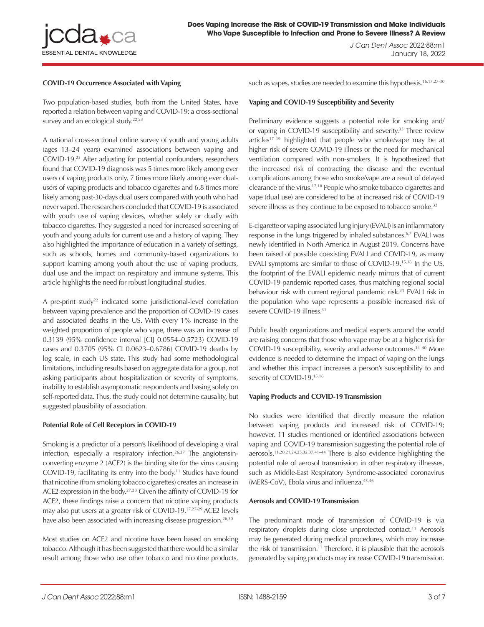

## **COVID-19 Occurrence Associated with Vaping**

Two population-based studies, both from the United States, have reported a relation between vaping and COVID-19: a cross-sectional survey and an ecological study.<sup>22,23</sup>

A national cross-sectional online survey of youth and young adults (ages 13–24 years) examined associations between vaping and COVID-19.23 After adjusting for potential confounders, researchers found that COVID-19 diagnosis was 5 times more likely among ever users of vaping products only, 7 times more likely among ever dualusers of vaping products and tobacco cigarettes and 6.8 times more likely among past-30-days dual users compared with youth who had never vaped. The researchers concluded that COVID-19 is associated with youth use of vaping devices, whether solely or dually with tobacco cigarettes. They suggested a need for increased screening of youth and young adults for current use and a history of vaping. They also highlighted the importance of education in a variety of settings, such as schools, homes and community-based organizations to support learning among youth about the use of vaping products, dual use and the impact on respiratory and immune systems. This article highlights the need for robust longitudinal studies.

A pre-print study<sup>22</sup> indicated some jurisdictional-level correlation between vaping prevalence and the proportion of COVID-19 cases and associated deaths in the US. With every 1% increase in the weighted proportion of people who vape, there was an increase of 0.3139 (95% confidence interval [CI] 0.0554–0.5723) COVID-19 cases and 0.3705 (95% CI 0.0623–0.6786) COVID-19 deaths by log scale, in each US state. This study had some methodological limitations, including results based on aggregate data for a group, not asking participants about hospitalization or severity of symptoms, inability to establish asymptomatic respondents and basing solely on self-reported data. Thus, the study could not determine causality, but suggested plausibility of association.

## **Potential Role of Cell Receptors in COVID-19**

Smoking is a predictor of a person's likelihood of developing a viral infection, especially a respiratory infection.<sup>26,27</sup> The angiotensinconverting enzyme 2 (ACE2) is the binding site for the virus causing COVID-19, facilitating its entry into the body.<sup>11</sup> Studies have found that nicotine (from smoking tobacco cigarettes) creates an increase in ACE2 expression in the body.<sup>27,28</sup> Given the affinity of COVID-19 for ACE2, these findings raise a concern that nicotine vaping products may also put users at a greater risk of COVID-19.17,27-29 ACE2 levels have also been associated with increasing disease progression.<sup>26,30</sup>

Most studies on ACE2 and nicotine have been based on smoking tobacco. Although it has been suggested that there would be a similar result among those who use other tobacco and nicotine products,

such as vapes, studies are needed to examine this hypothesis.<sup>16,17,27-30</sup>

### **Vaping and COVID-19 Susceptibility and Severity**

Preliminary evidence suggests a potential role for smoking and/ or vaping in COVID-19 susceptibility and severity.<sup>33</sup> Three review articles<sup>17–19</sup> highlighted that people who smoke/vape may be at higher risk of severe COVID-19 illness or the need for mechanical ventilation compared with non-smokers. It is hypothesized that the increased risk of contracting the disease and the eventual complications among those who smoke/vape are a result of delayed clearance of the virus.17,18 People who smoke tobacco cigarettes and vape (dual use) are considered to be at increased risk of COVID-19 severe illness as they continue to be exposed to tobacco smoke.<sup>32</sup>

E-cigarette or vaping associated lung injury (EVALI) is an inflammatory response in the lungs triggered by inhaled substances.<sup>6,7</sup> EVALI was newly identified in North America in August 2019. Concerns have been raised of possible coexisting EVALI and COVID-19, as many EVALI symptoms are similar to those of COVID-19.15,16 In the US, the footprint of the EVALI epidemic nearly mirrors that of current COVID-19 pandemic reported cases, thus matching regional social behaviour risk with current regional pandemic risk.<sup>31</sup> EVALI risk in the population who vape represents a possible increased risk of severe COVID-19 illness.<sup>31</sup>

Public health organizations and medical experts around the world are raising concerns that those who vape may be at a higher risk for COVID-19 susceptibility, severity and adverse outcomes.34–40 More evidence is needed to determine the impact of vaping on the lungs and whether this impact increases a person's susceptibility to and severity of COVID-19.<sup>15,16</sup>

### **Vaping Products and COVID-19 Transmission**

No studies were identified that directly measure the relation between vaping products and increased risk of COVID-19; however, 11 studies mentioned or identified associations between vaping and COVID-19 transmission suggesting the potential role of aerosols.11,20,21,24,25,32,37,41–44 There is also evidence highlighting the potential role of aerosol transmission in other respiratory illnesses, such as Middle-East Respiratory Syndrome-associated coronavirus (MERS-CoV), Ebola virus and influenza.<sup>45,46</sup>

### **Aerosols and COVID-19 Transmission**

The predominant mode of transmission of COVID-19 is via respiratory droplets during close unprotected contact.<sup>11</sup> Aerosols may be generated during medical procedures, which may increase the risk of transmission.<sup>11</sup> Therefore, it is plausible that the aerosols generated by vaping products may increase COVID-19 transmission.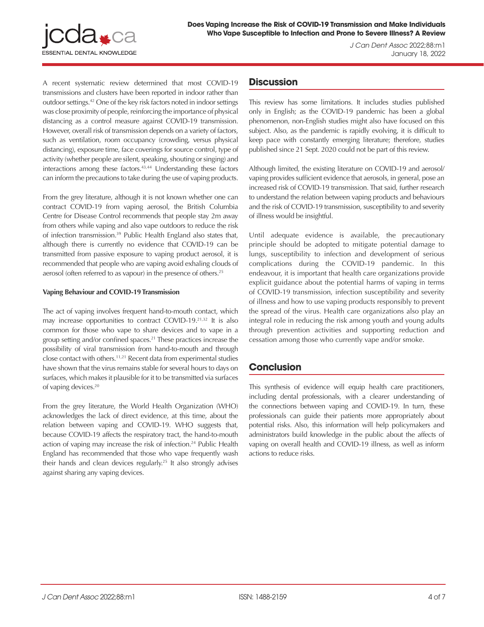*J Can Dent Assoc* 2022;88:m1 January 18, 2022

A recent systematic review determined that most COVID-19 transmissions and clusters have been reported in indoor rather than outdoor settings.42 One of the key risk factors noted in indoor settings was close proximity of people, reinforcing the importance of physical distancing as a control measure against COVID-19 transmission. However, overall risk of transmission depends on a variety of factors, such as ventilation, room occupancy (crowding, versus physical distancing), exposure time, face coverings for source control, type of activity (whether people are silent, speaking, shouting or singing) and interactions among these factors.43,44 Understanding these factors can inform the precautions to take during the use of vaping products.

From the grey literature, although it is not known whether one can contract COVID-19 from vaping aerosol, the British Columbia Centre for Disease Control recommends that people stay 2m away from others while vaping and also vape outdoors to reduce the risk of infection transmission.39 Public Health England also states that, although there is currently no evidence that COVID-19 can be transmitted from passive exposure to vaping product aerosol, it is recommended that people who are vaping avoid exhaling clouds of aerosol (often referred to as vapour) in the presence of others.25

## **Vaping Behaviour and COVID-19 Transmission**

The act of vaping involves frequent hand-to-mouth contact, which may increase opportunities to contract COVID-19.21,32 It is also common for those who vape to share devices and to vape in a group setting and/or confined spaces.21 These practices increase the possibility of viral transmission from hand-to-mouth and through close contact with others.11,21 Recent data from experimental studies have shown that the virus remains stable for several hours to days on surfaces, which makes it plausible for it to be transmitted via surfaces of vaping devices.20

From the grey literature, the World Health Organization (WHO) acknowledges the lack of direct evidence, at this time, about the relation between vaping and COVID-19. WHO suggests that, because COVID-19 affects the respiratory tract, the hand-to-mouth action of vaping may increase the risk of infection.<sup>24</sup> Public Health England has recommended that those who vape frequently wash their hands and clean devices regularly.25 It also strongly advises against sharing any vaping devices.

# **Discussion**

This review has some limitations. It includes studies published only in English; as the COVID-19 pandemic has been a global phenomenon, non-English studies might also have focused on this subject. Also, as the pandemic is rapidly evolving, it is difficult to keep pace with constantly emerging literature; therefore, studies published since 21 Sept. 2020 could not be part of this review.

Although limited, the existing literature on COVID-19 and aerosol/ vaping provides sufficient evidence that aerosols, in general, pose an increased risk of COVID-19 transmission. That said, further research to understand the relation between vaping products and behaviours and the risk of COVID-19 transmission, susceptibility to and severity of illness would be insightful.

Until adequate evidence is available, the precautionary principle should be adopted to mitigate potential damage to lungs, susceptibility to infection and development of serious complications during the COVID-19 pandemic. In this endeavour, it is important that health care organizations provide explicit guidance about the potential harms of vaping in terms of COVID-19 transmission, infection susceptibility and severity of illness and how to use vaping products responsibly to prevent the spread of the virus. Health care organizations also play an integral role in reducing the risk among youth and young adults through prevention activities and supporting reduction and cessation among those who currently vape and/or smoke.

# **Conclusion**

This synthesis of evidence will equip health care practitioners, including dental professionals, with a clearer understanding of the connections between vaping and COVID-19. In turn, these professionals can guide their patients more appropriately about potential risks. Also, this information will help policymakers and administrators build knowledge in the public about the affects of vaping on overall health and COVID-19 illness, as well as inform actions to reduce risks.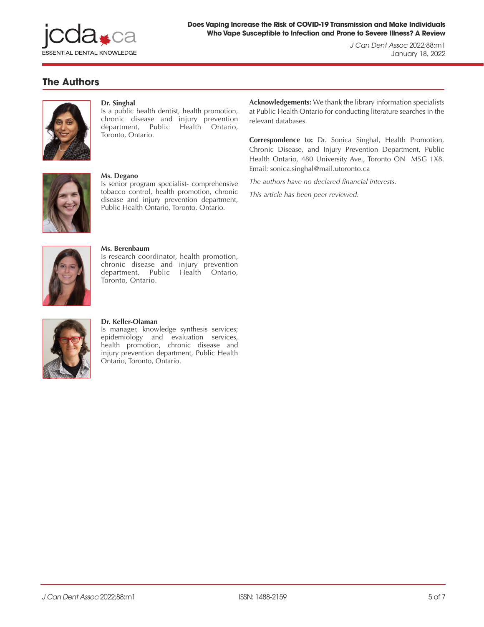

*J Can Dent Assoc* 2022;88:m1 January 18, 2022

# **The Authors**



## **Dr. Singhal**

Is a public health dentist, health promotion, chronic disease and injury prevention department, Public Health Ontario, Toronto, Ontario.



### **Ms. Degano**

Is senior program specialist- comprehensive tobacco control, health promotion, chronic disease and injury prevention department, Public Health Ontario, Toronto, Ontario.



### **Ms. Berenbaum**

Is research coordinator, health promotion, chronic disease and injury prevention department, Public Health Ontario, Toronto, Ontario.



### **Dr. Keller-Olaman**

Is manager, knowledge synthesis services; epidemiology and evaluation services, health promotion, chronic disease and injury prevention department, Public Health Ontario, Toronto, Ontario.

**Acknowledgements:** We thank the library information specialists at Public Health Ontario for conducting literature searches in the relevant databases.

**Correspondence to:** Dr. Sonica Singhal, Health Promotion, Chronic Disease, and Injury Prevention Department, Public Health Ontario, 480 University Ave., Toronto ON M5G 1X8. Email: sonica.singhal@mail.utoronto.ca

*The authors have no declared financial interests.*

*This article has been peer reviewed.*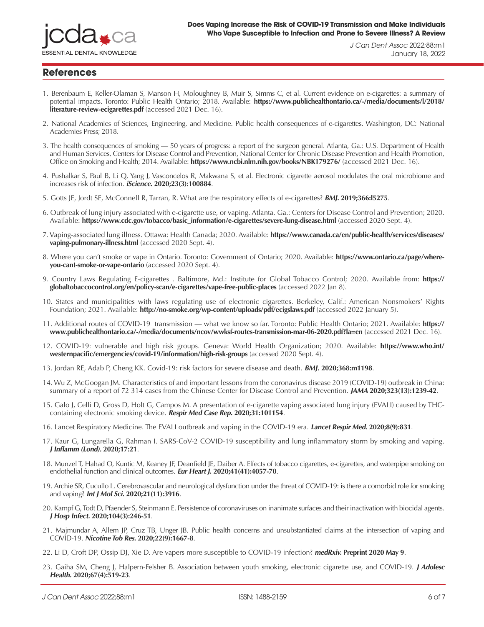

*J Can Dent Assoc* 2022;88:m1

January 18, 2022

# **References**

- 1. Berenbaum E, Keller-Olaman S, Manson H, Moloughney B, Muir S, Simms C, et al. Current evidence on e-cigarettes: a summary of potential impacts. Toronto: Public Health Ontario; 2018. Available: **[https://www.publichealthontario.ca/-/media/documents/l/2018/](1.	Berenbaum E, Keller-Olaman S, Manson H, Moloughney B, Muir S, Simms C, et al. Current evidence on e-cigarettes: a summary of potential impacts. Toronto: Public Health Ontario; 2018. Available: https://www.publichealthontario.ca/-/media/documents/l/2018/literature-review-ecigarettes.pdf (accessed 2021 Dec. 16).
2.	National Academies of Sciences, Engineering, and Medicine. Public health consequences of e-cigarettes. Washington, DC: National Academies Press; 2018. 
3.	The health consequences of smoking — 50 years of progress: a report of the surgeon general. Atlanta, Ga.: U.S. Department of Health and Human Services, Centers for Disease Control and Prevention, National Center for Chronic Disease Prevention and Health Promotion, Office on Smoking and Health; 2014. Available: https://www.ncbi.nlm.nih.gov/books/NBK179276/  (accessed 2021 Dec. 16).
4.	Pushalkar S, Paul B, Li Q, Yang J, Vasconcelos R, Makwana S, et al. Electronic cigarette aerosol modulates the oral microbiome and increases risk of infection. iScience. 2020;23(3):100884.
5.	Gotts JE, Jordt SE, McConnell R, Tarran, R. What are the respiratory effects of e-cigarettes? BMJ. 2019;366:l5275. 
6.	Outbreak of lung injury associated with e-cigarette use, or vaping. Atlanta, Ga.: Centers for Disease Control and Prevention; 2020. Available: https://www.cdc.gov/tobacco/basic_information/e-cigarettes/severe-lung-disease.html (accessed 2020 Sept. 4).
7.	Vaping-associated lung illness. Ottawa: Health Canada; 2020. Available: https://www.canada.ca/en/public-health/services/diseases/vaping-pulmonary-illness.html (accessed 2020 Sept. 4).
8.	Where you can’t smoke or vape in Ontario. Toronto: Government of Ontario; 2020. Available: https://www.ontario.ca/page/where-you-cant-smoke-or-vape-ontario (accessed 2020 Sept. 4).
9.	Country Laws Regulating E-cigarettes . Baltimore, Md.: Institute for Global Tobacco Control; 2020. Available from: https://globaltobaccocontrol.org/en/policy-scan/e-cigarettes/vape-free-public-places (accessed 2022 Jan 8).
10.	States and municipalities with laws regulating use of electronic cigarettes. Berkeley, Calif.: American Nonsmokers’ Rights Foundation; 2021. Available: http://no-smoke.org/wp-content/uploads/pdf/ecigslaws.pdf (accessed 2022 January 5).
11.	Additional routes of COVID-19  transmission — what we know so far. Toronto: Public Health Ontario; 2021. Available: https://www.publichealthontario.ca/-/media/documents/ncov/wwksf-routes-transmission-mar-06-2020.pdf?la=en (accessed 2021 Dec. 16).
12.	COVID-19: vulnerable and high risk groups. Geneva: World Health Organization; 2020. Available: https://www.who.int/westernpacific/emergencies/covid-19/information/high-risk-groups (accessed 2020 Sept. 4).
13.	Jordan RE, Adab P, Cheng KK. Covid-19: risk factors for severe disease and death. BMJ. 2020;368:m1198.
14.	Wu Z, McGoogan JM. Characteristics of and important lessons from the coronavirus disease 2019 (COVID-19) outbreak in China: summary of a report of 72 314 cases from the Chinese Center for Disease Control and Prevention. JAMA 2020;323(13):1239-42. 
15.	Galo J, Celli D, Gross D, Holt G, Campos M. A presentation of e-cigarette vaping associated lung injury (EVALI) caused by THC-containing electronic smoking device. Respir Med Case Rep. 2020;31:101154. 
16.	Lancet Respiratory Medicine. The EVALI outbreak and vaping in the COVID-19 era. Lancet Respir Med. 2020;8(9):831. 
17.	Kaur G, Lungarella G, Rahman I. SARS-CoV-2 COVID-19 susceptibility and lung inflammatory storm by smoking and vaping. J Inflamm (Lond). 2020;17:21. 
18.	Munzel T, Hahad O, Kuntic M, Keaney JF, Deanfield JE, Daiber A. Effects of tobacco cigarettes, e-cigarettes, and waterpipe smoking on endothelial function and clinical outcomes. Eur Heart J. 2020;41(41):4057-70. 
19.	Archie SR, Cucullo L. Cerebrovascular and neurological dysfunction under the threat of COVID-19: is there a comorbid role for smoking and vaping? Int J Mol Sci. 2020;21(11):3916.
20.	Kampf G, Todt D, Pfaender S, Steinmann E. Persistence of coronaviruses on inanimate surfaces and their inactivation with biocidal agents. J Hosp Infect. 2020;104(3):246-51. 
21.	Majmundar A, Allem JP, Cruz TB, Unger JB. Public health concerns and unsubstantiated claims at the intersection of vaping and COVID-19. Nicotine Tob Res. 2020;22(9):1667-8. 
22.	Li D, Croft DP, Ossip DJ, Xie D. Are vapers more susceptible to COVID-19 infection? medRxiv. Preprint 2020 May 9. 
23.	Gaiha SM, Cheng J, Halpern-Felsher B. Association between youth smoking, electronic cigarette use, and COVID-19. J Adolesc Health. 2020;67(4):519-23. 
24.	Q&A: coronavirus disease (COVID-19): tobacco. Geneva: World Health Organization; 2020. Available:  https://www.who.int/emergencies/diseases/novel-coronavirus-2019/question-and-answers-hub/q-a-detail/coronavirus-disease-covid-19-tobacco (accessed 2021 Dec. 16).
25.	Guidance: COVID-19: advice for smokers and vapers. London, UK: Gov.UK; 2020. Available: https://www.gov.uk/government/publications/covid-19-advice-for-smokers-and-vapers/covid-19-advice-for-smokers-and-vapers (accessed 2020 Oct. 2).
26.	Kabbani N, Olds JL. Does COVID19 infect the brain? If so, smokers might be at a higher risk. Mol. Pharmacol. 2020;97(5):351-3. 
27.	Sharma P, Zeki AA. Does vaping increase susceptibility to COVID-19? Am J Respir Crit Care Med. 2020;202(7):1055-6. 
28.	McAlinden KD, Eapen MS, Lu W, Chia C, Haug G, Sohal SS. COVID-19 and vaping: risk for increased susceptibility to SARS-CoV-2 infection? Eur Respir J. 2020;56(1):2001645. 
29.	Lee AC, Chakladar J, Li WT, Chen C, Chang EY, Wang-Rodriguez J, et al. Tobacco, but not nicotine and flavor-less electronic cigarettes, induces ACE2 and immune dysregulation. Int J Mol Sci. 2020;21(15):5513. 
30.	Pino LE, Triana I, Pérez C, Piotrostanalzki A, Ruiz-Patiño A, Lopes G, et al. Electronic nicotine delivery systems (ECs) and COVID-19: the perfect storm for young consumers. Clin Transl Oncol. 2020;23(1):5-9. 
31.	Harrill WC. Vaping during the COVID-19 pandemic: NOT GOOD!! Laryngoscope Investig Otolaryngol. 2020;5(3):399-400. 
32.	Tobacco and COVID-19 — what we know so far. Toronto: Public Health Ontario; 2020. Available: https://www.publichealthontario.ca/-/media/documents/ncov/covid-wwksf/2020/08/what-we-know-tobacco-covid.pdf?la=en (accessed 2021 Dec. 17).
33.	Russo P, Bonassi S, Giacconi R, Malavolta M, Tomino C, Maggi F. COVID-19 and smoking: is nicotine the hidden link? Eur Respir J. 2020;55(6):2001116. 
34.	Tobacco and waterpipe use increases the risk of COVID-19. Cairo: World Health Organization Regional Office for the Eastern Mediterranean; 2020. Available: http://www.emro.who.int/tfi/know-the-truth/tobacco-and-waterpipe-users-are-at-increased-risk-of-covid-19-infection.html (accessed 2021 Dec. 17).
35.	Chadi N, Bélanger R. COVID, youth, and substance use: critical messages for youth and families. Ottawa: Canadian Paediatric Society; 2020. Available: https://www.cps.ca/en/blog-blogue/covid-youth-and-substance-use-critical-messages-for-youth-and-families (accessed 2020 Sept. 4).
36.	Public Health Agency of Canada. Statement from the chief public health officer of Canada on COVID-19. Ottawa: Government of Canada; 2020. Available: https://www.canada.ca/en/public-health/news/2020/05/statement-from-the-chief-public-health-officer-of-canada-on-covid-1910.html (accessed 2020 Sept. 4).
37.	Vaping, smoking and COVID-19. Vancouver: BC Centre for Disease Control; 2020. Available: http://www.bccdc.ca/health-info/diseases-conditions/covid-19/prevention-risks/vaping-smoking-and-covid-19 (accessed 2020 Sept. 4).
38.	Australian Health Protection Principal Committee (AHPPC) statement on tobacco use, e-cigarette use and COVID-19. Canberra, Australia: Department of Health; 2020. Available: https://www.health.gov.au/news/australian-health-protection-principal-committee-ahppc-statement-on-tobacco-use-e-cigarette-use-and-covid-19 (accessed 2020 Sept. 21).
39.	Vaping and COVID-19: information for people who use e-cigarettes. Toronto: Centre for Addiction and Mental Health; 2020. Available: https://camh.ca/-/media/files/camh_covid19_infosheet-ndc-vaping-pdf.pdf (accessed 2020 Sept. 21).
40.	Volkow N. Nora’s blog: COVID-19: potential implications for individuals with substance use disorders. Bethesda, Md.: National Institute on Drug Abuse; 2020. Available: https://www.drugabuse.gov/about-nida/noras-blog/2020/04/covid-19-potential-implications-individuals-substance-use-disorders (accessed 2020 Sept. 4).
41.	Morawska L, Milton DK. It is time to address airborne transmission of COVID-19. Clin Infect Dis. Preprint 2020 Jul 6 
42.	Leclerc QJ, Fuller NM, Knight LE, CMMID COVID-19 Working Group, Funk S, Knight GM. What settings have been linked to SARS-CoV-2 transmission clusters? Wellcome Open Res. 2020;5:83. 
43.	Jones NR, Qureshi ZU, Temple RJ, Larwood JPJ, Greenhalgh T, Bourouiba L. Two metres or one: what is the evidence for physical distancing in covid-19? BMJ. 2020;370:m3223. 
44.	Masking for source control of COVID-19: considerations for workers at non-healthcare settings. Toronto: Public Health Ontario; 2020. Available: https://www.publichealthontario.ca/-/media/documents/ncov/ipac/report-covid-19-masking-source-control-workers-non-healthcare-settings.pdf?la=en (accessed 2021 Dec. 17).
45.	Tellier R, Li Y, Cowling BJ, Tang JW. Recognition of aerosol transmission of infectious agents: a commentary. BMC Infect Dis. 2019;19(1):101. 
Yan J, Grantham M, Pantelic J, Bueno de Mesquita PJ, Albert B, Liu F, et al. Infectious virus in exhaled breath of symptomatic seasonal influenza cases from a college community. Proc Nat Acad Sci U S A. 2018;115(5):1081-6
) [literature-review-ecigarettes.pdf](1.	Berenbaum E, Keller-Olaman S, Manson H, Moloughney B, Muir S, Simms C, et al. Current evidence on e-cigarettes: a summary of potential impacts. Toronto: Public Health Ontario; 2018. Available: https://www.publichealthontario.ca/-/media/documents/l/2018/literature-review-ecigarettes.pdf (accessed 2021 Dec. 16).
2.	National Academies of Sciences, Engineering, and Medicine. Public health consequences of e-cigarettes. Washington, DC: National Academies Press; 2018. 
3.	The health consequences of smoking — 50 years of progress: a report of the surgeon general. Atlanta, Ga.: U.S. Department of Health and Human Services, Centers for Disease Control and Prevention, National Center for Chronic Disease Prevention and Health Promotion, Office on Smoking and Health; 2014. Available: https://www.ncbi.nlm.nih.gov/books/NBK179276/  (accessed 2021 Dec. 16).
4.	Pushalkar S, Paul B, Li Q, Yang J, Vasconcelos R, Makwana S, et al. Electronic cigarette aerosol modulates the oral microbiome and increases risk of infection. iScience. 2020;23(3):100884.
5.	Gotts JE, Jordt SE, McConnell R, Tarran, R. What are the respiratory effects of e-cigarettes? BMJ. 2019;366:l5275. 
6.	Outbreak of lung injury associated with e-cigarette use, or vaping. Atlanta, Ga.: Centers for Disease Control and Prevention; 2020. Available: https://www.cdc.gov/tobacco/basic_information/e-cigarettes/severe-lung-disease.html (accessed 2020 Sept. 4).
7.	Vaping-associated lung illness. Ottawa: Health Canada; 2020. Available: https://www.canada.ca/en/public-health/services/diseases/vaping-pulmonary-illness.html (accessed 2020 Sept. 4).
8.	Where you can’t smoke or vape in Ontario. Toronto: Government of Ontario; 2020. Available: https://www.ontario.ca/page/where-you-cant-smoke-or-vape-ontario (accessed 2020 Sept. 4).
9.	Country Laws Regulating E-cigarettes . Baltimore, Md.: Institute for Global Tobacco Control; 2020. Available from: https://globaltobaccocontrol.org/en/policy-scan/e-cigarettes/vape-free-public-places (accessed 2022 Jan 8).
10.	States and municipalities with laws regulating use of electronic cigarettes. Berkeley, Calif.: American Nonsmokers’ Rights Foundation; 2021. Available: http://no-smoke.org/wp-content/uploads/pdf/ecigslaws.pdf (accessed 2022 January 5).
11.	Additional routes of COVID-19  transmission — what we know so far. Toronto: Public Health Ontario; 2021. Available: https://www.publichealthontario.ca/-/media/documents/ncov/wwksf-routes-transmission-mar-06-2020.pdf?la=en (accessed 2021 Dec. 16).
12.	COVID-19: vulnerable and high risk groups. Geneva: World Health Organization; 2020. Available: https://www.who.int/westernpacific/emergencies/covid-19/information/high-risk-groups (accessed 2020 Sept. 4).
13.	Jordan RE, Adab P, Cheng KK. Covid-19: risk factors for severe disease and death. BMJ. 2020;368:m1198.
14.	Wu Z, McGoogan JM. Characteristics of and important lessons from the coronavirus disease 2019 (COVID-19) outbreak in China: summary of a report of 72 314 cases from the Chinese Center for Disease Control and Prevention. JAMA 2020;323(13):1239-42. 
15.	Galo J, Celli D, Gross D, Holt G, Campos M. A presentation of e-cigarette vaping associated lung injury (EVALI) caused by THC-containing electronic smoking device. Respir Med Case Rep. 2020;31:101154. 
16.	Lancet Respiratory Medicine. The EVALI outbreak and vaping in the COVID-19 era. Lancet Respir Med. 2020;8(9):831. 
17.	Kaur G, Lungarella G, Rahman I. SARS-CoV-2 COVID-19 susceptibility and lung inflammatory storm by smoking and vaping. J Inflamm (Lond). 2020;17:21. 
18.	Munzel T, Hahad O, Kuntic M, Keaney JF, Deanfield JE, Daiber A. Effects of tobacco cigarettes, e-cigarettes, and waterpipe smoking on endothelial function and clinical outcomes. Eur Heart J. 2020;41(41):4057-70. 
19.	Archie SR, Cucullo L. Cerebrovascular and neurological dysfunction under the threat of COVID-19: is there a comorbid role for smoking and vaping? Int J Mol Sci. 2020;21(11):3916.
20.	Kampf G, Todt D, Pfaender S, Steinmann E. Persistence of coronaviruses on inanimate surfaces and their inactivation with biocidal agents. J Hosp Infect. 2020;104(3):246-51. 
21.	Majmundar A, Allem JP, Cruz TB, Unger JB. Public health concerns and unsubstantiated claims at the intersection of vaping and COVID-19. Nicotine Tob Res. 2020;22(9):1667-8. 
22.	Li D, Croft DP, Ossip DJ, Xie D. Are vapers more susceptible to COVID-19 infection? medRxiv. Preprint 2020 May 9. 
23.	Gaiha SM, Cheng J, Halpern-Felsher B. Association between youth smoking, electronic cigarette use, and COVID-19. J Adolesc Health. 2020;67(4):519-23. 
24.	Q&A: coronavirus disease (COVID-19): tobacco. Geneva: World Health Organization; 2020. Available:  https://www.who.int/emergencies/diseases/novel-coronavirus-2019/question-and-answers-hub/q-a-detail/coronavirus-disease-covid-19-tobacco (accessed 2021 Dec. 16).
25.	Guidance: COVID-19: advice for smokers and vapers. London, UK: Gov.UK; 2020. Available: https://www.gov.uk/government/publications/covid-19-advice-for-smokers-and-vapers/covid-19-advice-for-smokers-and-vapers (accessed 2020 Oct. 2).
26.	Kabbani N, Olds JL. Does COVID19 infect the brain? If so, smokers might be at a higher risk. Mol. Pharmacol. 2020;97(5):351-3. 
27.	Sharma P, Zeki AA. Does vaping increase susceptibility to COVID-19? Am J Respir Crit Care Med. 2020;202(7):1055-6. 
28.	McAlinden KD, Eapen MS, Lu W, Chia C, Haug G, Sohal SS. COVID-19 and vaping: risk for increased susceptibility to SARS-CoV-2 infection? Eur Respir J. 2020;56(1):2001645. 
29.	Lee AC, Chakladar J, Li WT, Chen C, Chang EY, Wang-Rodriguez J, et al. Tobacco, but not nicotine and flavor-less electronic cigarettes, induces ACE2 and immune dysregulation. Int J Mol Sci. 2020;21(15):5513. 
30.	Pino LE, Triana I, Pérez C, Piotrostanalzki A, Ruiz-Patiño A, Lopes G, et al. Electronic nicotine delivery systems (ECs) and COVID-19: the perfect storm for young consumers. Clin Transl Oncol. 2020;23(1):5-9. 
31.	Harrill WC. Vaping during the COVID-19 pandemic: NOT GOOD!! Laryngoscope Investig Otolaryngol. 2020;5(3):399-400. 
32.	Tobacco and COVID-19 — what we know so far. Toronto: Public Health Ontario; 2020. Available: https://www.publichealthontario.ca/-/media/documents/ncov/covid-wwksf/2020/08/what-we-know-tobacco-covid.pdf?la=en (accessed 2021 Dec. 17).
33.	Russo P, Bonassi S, Giacconi R, Malavolta M, Tomino C, Maggi F. COVID-19 and smoking: is nicotine the hidden link? Eur Respir J. 2020;55(6):2001116. 
34.	Tobacco and waterpipe use increases the risk of COVID-19. Cairo: World Health Organization Regional Office for the Eastern Mediterranean; 2020. Available: http://www.emro.who.int/tfi/know-the-truth/tobacco-and-waterpipe-users-are-at-increased-risk-of-covid-19-infection.html (accessed 2021 Dec. 17).
35.	Chadi N, Bélanger R. COVID, youth, and substance use: critical messages for youth and families. Ottawa: Canadian Paediatric Society; 2020. Available: https://www.cps.ca/en/blog-blogue/covid-youth-and-substance-use-critical-messages-for-youth-and-families (accessed 2020 Sept. 4).
36.	Public Health Agency of Canada. Statement from the chief public health officer of Canada on COVID-19. Ottawa: Government of Canada; 2020. Available: https://www.canada.ca/en/public-health/news/2020/05/statement-from-the-chief-public-health-officer-of-canada-on-covid-1910.html (accessed 2020 Sept. 4).
37.	Vaping, smoking and COVID-19. Vancouver: BC Centre for Disease Control; 2020. Available: http://www.bccdc.ca/health-info/diseases-conditions/covid-19/prevention-risks/vaping-smoking-and-covid-19 (accessed 2020 Sept. 4).
38.	Australian Health Protection Principal Committee (AHPPC) statement on tobacco use, e-cigarette use and COVID-19. Canberra, Australia: Department of Health; 2020. Available: https://www.health.gov.au/news/australian-health-protection-principal-committee-ahppc-statement-on-tobacco-use-e-cigarette-use-and-covid-19 (accessed 2020 Sept. 21).
39.	Vaping and COVID-19: information for people who use e-cigarettes. Toronto: Centre for Addiction and Mental Health; 2020. Available: https://camh.ca/-/media/files/camh_covid19_infosheet-ndc-vaping-pdf.pdf (accessed 2020 Sept. 21).
40.	Volkow N. Nora’s blog: COVID-19: potential implications for individuals with substance use disorders. Bethesda, Md.: National Institute on Drug Abuse; 2020. Available: https://www.drugabuse.gov/about-nida/noras-blog/2020/04/covid-19-potential-implications-individuals-substance-use-disorders (accessed 2020 Sept. 4).
41.	Morawska L, Milton DK. It is time to address airborne transmission of COVID-19. Clin Infect Dis. Preprint 2020 Jul 6 
42.	Leclerc QJ, Fuller NM, Knight LE, CMMID COVID-19 Working Group, Funk S, Knight GM. What settings have been linked to SARS-CoV-2 transmission clusters? Wellcome Open Res. 2020;5:83. 
43.	Jones NR, Qureshi ZU, Temple RJ, Larwood JPJ, Greenhalgh T, Bourouiba L. Two metres or one: what is the evidence for physical distancing in covid-19? BMJ. 2020;370:m3223. 
44.	Masking for source control of COVID-19: considerations for workers at non-healthcare settings. Toronto: Public Health Ontario; 2020. Available: https://www.publichealthontario.ca/-/media/documents/ncov/ipac/report-covid-19-masking-source-control-workers-non-healthcare-settings.pdf?la=en (accessed 2021 Dec. 17).
45.	Tellier R, Li Y, Cowling BJ, Tang JW. Recognition of aerosol transmission of infectious agents: a commentary. BMC Infect Dis. 2019;19(1):101. 
Yan J, Grantham M, Pantelic J, Bueno de Mesquita PJ, Albert B, Liu F, et al. Infectious virus in exhaled breath of symptomatic seasonal influenza cases from a college community. Proc Nat Acad Sci U S A. 2018;115(5):1081-6
)** (accessed 2021 Dec. 16).
- 2. National Academies of Sciences, Engineering, and Medicine. Public health consequences of e-cigarettes. Washington, DC: National Academies Press; 2018.
- 3. The health consequences of smoking 50 years of progress: a report of the surgeon general. Atlanta, Ga.: U.S. Department of Health and Human Services, Centers for Disease Control and Prevention, National Center for Chronic Disease Prevention and Health Promotion, Office on Smoking and Health; 2014. Available: **<https://www.ncbi.nlm.nih.gov/books/NBK179276/>** (accessed 2021 Dec. 16).
- 4. Pushalkar S, Paul B, Li Q, Yang J, Vasconcelos R, Makwana S, et al. Electronic cigarette aerosol modulates the oral microbiome and increases risk of infection. **iScience[. 2020;23\(3\):100884](https://pubmed.ncbi.nlm.nih.gov/32105635/)**.
- 5. Gotts JE, Jordt SE, McConnell R, Tarran, R. What are the respiratory effects of e-cigarettes? **BMJ. [2019;366:l5275](https://pubmed.ncbi.nlm.nih.gov/31570493/)**.
- 6. Outbreak of lung injury associated with e-cigarette use, or vaping. Atlanta, Ga.: Centers for Disease Control and Prevention; 2020. Available: **[https://www.cdc.gov/tobacco/basic\\_information/e-cigarettes/severe-lung-disease.html](https://www.cdc.gov/tobacco/basic_information/e-cigarettes/severe-lung-disease.html)** (accessed 2020 Sept. 4).
- 7. Vaping-associated lung illness. Ottawa: Health Canada; 2020. Available: **[https://www.canada.ca/en/public-health/services/diseases/](https://www.canada.ca/en/public-health/services/diseases/vaping-pulmonary-illness.html) [vaping-pulmonary-illness.html](https://www.canada.ca/en/public-health/services/diseases/vaping-pulmonary-illness.html)** (accessed 2020 Sept. 4).
- 8. Where you can't smoke or vape in Ontario. Toronto: Government of Ontario; 2020. Available: **[https://www.ontario.ca/page/where](https://www.ontario.ca/page/where-you-cant-smoke-or-vape-ontario)[you-cant-smoke-or-vape-ontario](https://www.ontario.ca/page/where-you-cant-smoke-or-vape-ontario)** (accessed 2020 Sept. 4).
- 9. Country Laws Regulating E-cigarettes . Baltimore, Md.: Institute for Global Tobacco Control; 2020. Available from: **[https://](https://globaltobaccocontrol.org/en/policy-scan/e-cigarettes/vape-free-public-places) [globaltobaccocontrol.org/en/policy-scan/e-cigarettes/vape-free-public-places](https://globaltobaccocontrol.org/en/policy-scan/e-cigarettes/vape-free-public-places)** (accessed 2022 Jan 8).
- 10. States and municipalities with laws regulating use of electronic cigarettes. Berkeley, Calif.: American Nonsmokers' Rights Foundation; 2021. Available: **<http://no-smoke.org/wp-content/uploads/pdf/ecigslaws.pdf>** (accessed 2022 January 5).
- 11. Additional routes of COVID-19 transmission what we know so far. Toronto: Public Health Ontario; 2021. Available: **[https://](https://www.publichealthontario.ca/-/media/documents/ncov/covid-wwksf/2020/12/routes-transmission-covid-19.pdf?la=en) [www.publichealthontario.ca/-/media/documents/ncov/wwksf-routes-transmission-mar-06-2020.pdf?la=en](https://www.publichealthontario.ca/-/media/documents/ncov/covid-wwksf/2020/12/routes-transmission-covid-19.pdf?la=en)** (accessed 2021 Dec. 16).
- 12. COVID-19: vulnerable and high risk groups. Geneva: World Health Organization; 2020. Available: **[https://www.who.int/](https://www.who.int/westernpacific/emergencies/covid-19/information/high-risk-groups) [westernpacific/emergencies/covid-19/information/high-risk-groups](https://www.who.int/westernpacific/emergencies/covid-19/information/high-risk-groups)** (accessed 2020 Sept. 4).
- 13. Jordan RE, Adab P, Cheng KK. Covid-19: risk factors for severe disease and death. **BMJ. [2020;368:m1198](https://pubmed.ncbi.nlm.nih.gov/32217618/)**.
- 14. Wu Z, McGoogan JM. Characteristics of and important lessons from the coronavirus disease 2019 (COVID-19) outbreak in China: summary of a report of 72 314 cases from the Chinese Center for Disease Control and Prevention. **JAMA [2020;323\(13\):1239-42](https://pubmed.ncbi.nlm.nih.gov/32091533/)**.
- 15. Galo J, Celli D, Gross D, Holt G, Campos M. A presentation of e-cigarette vaping associated lung injury (EVALI) caused by THCcontaining electronic smoking device. **[Respir Med Case Rep.](https://pubmed.ncbi.nlm.nih.gov/32690998/) 2020;31:101154**.
- 16. Lancet Respiratory Medicine. The EVALI outbreak and vaping in the COVID-19 era. **[Lancet Respir Med.](https://pubmed.ncbi.nlm.nih.gov/32805203/) 2020;8(9):831**.
- 17. Kaur G, Lungarella G, Rahman I. SARS-CoV-2 COVID-19 susceptibility and lung inflammatory storm by smoking and vaping. **[J Inflamm \(Lond\).](https://pubmed.ncbi.nlm.nih.gov/32528233/) 2020;17:21**.
- 18. Munzel T, Hahad O, Kuntic M, Keaney JF, Deanfield JE, Daiber A. Effects of tobacco cigarettes, e-cigarettes, and waterpipe smoking on endothelial function and clinical outcomes. **Eur Heart J[. 2020;41\(41\):4057-70](https://pubmed.ncbi.nlm.nih.gov/32585699/)**.
- 19. Archie SR, Cucullo L. Cerebrovascular and neurological dysfunction under the threat of COVID-19: is there a comorbid role for smoking and vaping? **Int J Mol Sci. [2020;21\(11\):3916](https://pubmed.ncbi.nlm.nih.gov/32486196/)**.
- 20. Kampf G, Todt D, Pfaender S, Steinmann E. Persistence of coronaviruses on inanimate surfaces and their inactivation with biocidal agents. **J Hosp Infect. [2020;104\(3\):246-51](https://pubmed.ncbi.nlm.nih.gov/32035997/)**.
- 21. Majmundar A, Allem JP, Cruz TB, Unger JB. Public health concerns and unsubstantiated claims at the intersection of vaping and COVID-19. **Nicotine Tob Res. [2020;22\(9\):1667-8](https://pubmed.ncbi.nlm.nih.gov/32285129/)**.
- 22. Li D, Croft DP, Ossip DJ, Xie D. Are vapers more susceptible to COVID-19 infection? **medRxiv. [Preprint 2020 May 9](https://www.ncbi.nlm.nih.gov/pmc/articles/PMC7274241/)**.
- 23. Gaiha SM, Cheng J, Halpern-Felsher B. Association between youth smoking, electronic cigarette use, and COVID-19. **[J Adolesc](https://pubmed.ncbi.nlm.nih.gov/32798097/) Health. [2020;67\(4\):519-23](https://pubmed.ncbi.nlm.nih.gov/32798097/)**.